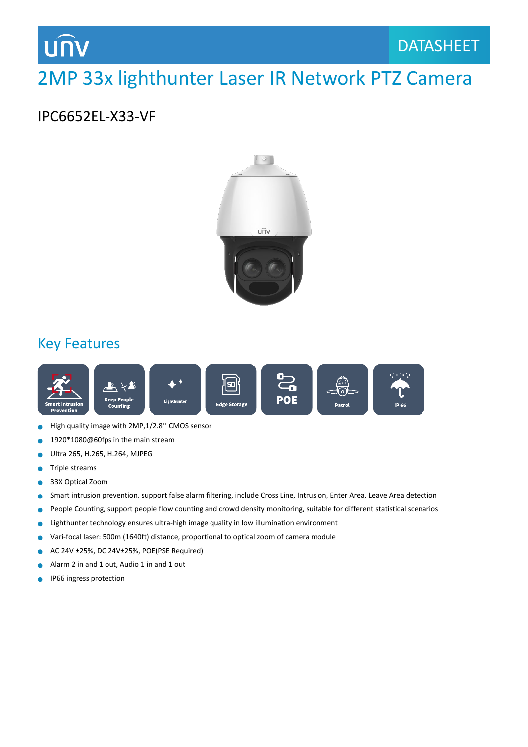## **UNV**

#### DATASHEET DATASHEET

### 2MP 33x lighthunter Laser IR Network PTZ Camera

#### IPC6652EL-X33-VF



### Key Features



- High quality image with 2MP,1/2.8'' CMOS sensor  $\bullet$
- 1920\*1080@60fps in the main stream
- Ultra 265, H.265, H.264, MJPEG Ä
- Triple streams  $\bullet$
- 33X Optical Zoom  $\bullet$
- Smart intrusion prevention, support false alarm filtering, include Cross Line, Intrusion, Enter Area, Leave Area detection  $\bullet$
- People Counting, support people flow counting and crowd density monitoring, suitable for different statistical scenarios  $\bullet$
- Lighthunter technology ensures ultra-high image quality in low illumination environment Ä
- $\bullet$ Vari-focal laser: 500m (1640ft) distance, proportional to optical zoom of camera module
- AC 24V ±25%, DC 24V±25%, POE(PSE Required) Ŏ
- Alarm 2 in and 1 out, Audio 1 in and 1 out Ċ
- IP66 ingress protectionä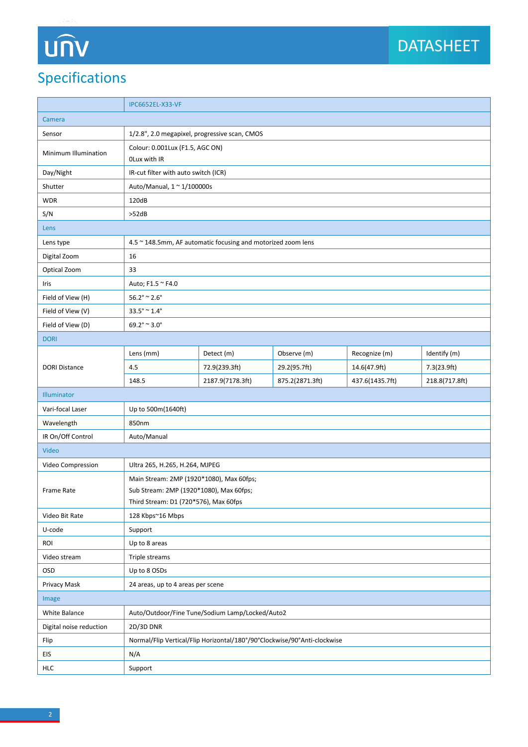# UN

### Specifications

|                         | IPC6652EL-X33-VF                                             |                                                                          |                 |                 |                |  |
|-------------------------|--------------------------------------------------------------|--------------------------------------------------------------------------|-----------------|-----------------|----------------|--|
| Camera                  |                                                              |                                                                          |                 |                 |                |  |
| Sensor                  | 1/2.8", 2.0 megapixel, progressive scan, CMOS                |                                                                          |                 |                 |                |  |
| Minimum Illumination    | Colour: 0.001Lux (F1.5, AGC ON)<br>OLux with IR              |                                                                          |                 |                 |                |  |
| Day/Night               | IR-cut filter with auto switch (ICR)                         |                                                                          |                 |                 |                |  |
| Shutter                 | Auto/Manual, 1 ~ 1/100000s                                   |                                                                          |                 |                 |                |  |
| <b>WDR</b>              | 120dB                                                        |                                                                          |                 |                 |                |  |
| S/N                     | >52dB                                                        |                                                                          |                 |                 |                |  |
| Lens                    |                                                              |                                                                          |                 |                 |                |  |
| Lens type               | 4.5 ~ 148.5mm, AF automatic focusing and motorized zoom lens |                                                                          |                 |                 |                |  |
| Digital Zoom            | 16                                                           |                                                                          |                 |                 |                |  |
| Optical Zoom            | 33                                                           |                                                                          |                 |                 |                |  |
| Iris                    | Auto; F1.5 ~ F4.0                                            |                                                                          |                 |                 |                |  |
| Field of View (H)       | $56.2^{\circ} \approx 2.6^{\circ}$                           |                                                                          |                 |                 |                |  |
| Field of View (V)       | $33.5^{\circ} \approx 1.4^{\circ}$                           |                                                                          |                 |                 |                |  |
| Field of View (D)       | $69.2^{\circ} \approx 3.0^{\circ}$                           |                                                                          |                 |                 |                |  |
| <b>DORI</b>             |                                                              |                                                                          |                 |                 |                |  |
|                         | Lens (mm)                                                    | Detect (m)                                                               | Observe (m)     | Recognize (m)   | Identify (m)   |  |
| <b>DORI Distance</b>    | 4.5                                                          | 72.9(239.3ft)                                                            | 29.2(95.7ft)    | 14.6(47.9ft)    | 7.3(23.9ft)    |  |
|                         | 148.5                                                        | 2187.9(7178.3ft)                                                         | 875.2(2871.3ft) | 437.6(1435.7ft) | 218.8(717.8ft) |  |
| Illuminator             |                                                              |                                                                          |                 |                 |                |  |
| Vari-focal Laser        | Up to 500m(1640ft)                                           |                                                                          |                 |                 |                |  |
| Wavelength              | 850nm                                                        |                                                                          |                 |                 |                |  |
| IR On/Off Control       | Auto/Manual                                                  |                                                                          |                 |                 |                |  |
| Video                   |                                                              |                                                                          |                 |                 |                |  |
| Video Compression       | Ultra 265, H.265, H.264, MJPEG                               |                                                                          |                 |                 |                |  |
|                         | Main Stream: 2MP (1920*1080), Max 60fps;                     |                                                                          |                 |                 |                |  |
| Frame Rate              | Sub Stream: 2MP (1920*1080), Max 60fps;                      |                                                                          |                 |                 |                |  |
|                         | Third Stream: D1 (720*576), Max 60fps                        |                                                                          |                 |                 |                |  |
| Video Bit Rate          | 128 Kbps~16 Mbps                                             |                                                                          |                 |                 |                |  |
| U-code                  | Support                                                      |                                                                          |                 |                 |                |  |
| ROI                     | Up to 8 areas                                                |                                                                          |                 |                 |                |  |
| Video stream            | Triple streams                                               |                                                                          |                 |                 |                |  |
| <b>OSD</b>              | Up to 8 OSDs                                                 |                                                                          |                 |                 |                |  |
| Privacy Mask            | 24 areas, up to 4 areas per scene                            |                                                                          |                 |                 |                |  |
| Image                   |                                                              |                                                                          |                 |                 |                |  |
| White Balance           | Auto/Outdoor/Fine Tune/Sodium Lamp/Locked/Auto2              |                                                                          |                 |                 |                |  |
| Digital noise reduction | 2D/3D DNR                                                    |                                                                          |                 |                 |                |  |
| Flip                    |                                                              | Normal/Flip Vertical/Flip Horizontal/180°/90°Clockwise/90°Anti-clockwise |                 |                 |                |  |
| EIS                     | N/A                                                          |                                                                          |                 |                 |                |  |
| HLC                     | Support                                                      |                                                                          |                 |                 |                |  |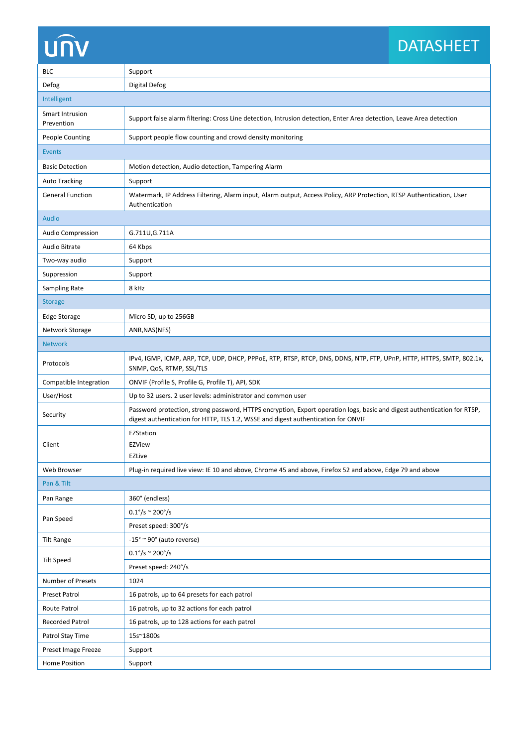## **UNV**

#### DATASHEET DATASHEET

| <b>BLC</b>                           | Support                                                                                                                                                                                                       |  |  |  |  |
|--------------------------------------|---------------------------------------------------------------------------------------------------------------------------------------------------------------------------------------------------------------|--|--|--|--|
| Defog                                | Digital Defog                                                                                                                                                                                                 |  |  |  |  |
| Intelligent                          |                                                                                                                                                                                                               |  |  |  |  |
| <b>Smart Intrusion</b><br>Prevention | Support false alarm filtering: Cross Line detection, Intrusion detection, Enter Area detection, Leave Area detection                                                                                          |  |  |  |  |
| <b>People Counting</b>               | Support people flow counting and crowd density monitoring                                                                                                                                                     |  |  |  |  |
| <b>Events</b>                        |                                                                                                                                                                                                               |  |  |  |  |
| <b>Basic Detection</b>               | Motion detection, Audio detection, Tampering Alarm                                                                                                                                                            |  |  |  |  |
| <b>Auto Tracking</b>                 | Support                                                                                                                                                                                                       |  |  |  |  |
| <b>General Function</b>              | Watermark, IP Address Filtering, Alarm input, Alarm output, Access Policy, ARP Protection, RTSP Authentication, User<br>Authentication                                                                        |  |  |  |  |
| <b>Audio</b>                         |                                                                                                                                                                                                               |  |  |  |  |
| <b>Audio Compression</b>             | G.711U, G.711A                                                                                                                                                                                                |  |  |  |  |
| <b>Audio Bitrate</b>                 | 64 Kbps                                                                                                                                                                                                       |  |  |  |  |
| Two-way audio                        | Support                                                                                                                                                                                                       |  |  |  |  |
| Suppression                          | Support                                                                                                                                                                                                       |  |  |  |  |
| Sampling Rate                        | 8 kHz                                                                                                                                                                                                         |  |  |  |  |
| <b>Storage</b>                       |                                                                                                                                                                                                               |  |  |  |  |
| <b>Edge Storage</b>                  | Micro SD, up to 256GB                                                                                                                                                                                         |  |  |  |  |
| Network Storage                      | ANR, NAS (NFS)                                                                                                                                                                                                |  |  |  |  |
| <b>Network</b>                       |                                                                                                                                                                                                               |  |  |  |  |
| Protocols                            | IPv4, IGMP, ICMP, ARP, TCP, UDP, DHCP, PPPoE, RTP, RTSP, RTCP, DNS, DDNS, NTP, FTP, UPnP, HTTP, HTTPS, SMTP, 802.1x,<br>SNMP, QoS, RTMP, SSL/TLS                                                              |  |  |  |  |
| Compatible Integration               | ONVIF (Profile S, Profile G, Profile T), API, SDK                                                                                                                                                             |  |  |  |  |
| User/Host                            | Up to 32 users. 2 user levels: administrator and common user                                                                                                                                                  |  |  |  |  |
| Security                             | Password protection, strong password, HTTPS encryption, Export operation logs, basic and digest authentication for RTSP,<br>digest authentication for HTTP, TLS 1.2, WSSE and digest authentication for ONVIF |  |  |  |  |
|                                      | EZStation                                                                                                                                                                                                     |  |  |  |  |
| Client                               | <b>EZView</b>                                                                                                                                                                                                 |  |  |  |  |
|                                      | <b>EZLive</b>                                                                                                                                                                                                 |  |  |  |  |
| Web Browser                          | Plug-in required live view: IE 10 and above, Chrome 45 and above, Firefox 52 and above, Edge 79 and above                                                                                                     |  |  |  |  |
| Pan & Tilt                           |                                                                                                                                                                                                               |  |  |  |  |
| Pan Range                            | 360° (endless)                                                                                                                                                                                                |  |  |  |  |
| Pan Speed                            | $0.1^{\circ}/s \approx 200^{\circ}/s$                                                                                                                                                                         |  |  |  |  |
|                                      | Preset speed: 300°/s                                                                                                                                                                                          |  |  |  |  |
| <b>Tilt Range</b>                    | $-15^\circ \approx 90^\circ$ (auto reverse)                                                                                                                                                                   |  |  |  |  |
| <b>Tilt Speed</b>                    | $0.1^{\circ}/s \approx 200^{\circ}/s$                                                                                                                                                                         |  |  |  |  |
|                                      | Preset speed: 240°/s                                                                                                                                                                                          |  |  |  |  |
| Number of Presets                    | 1024                                                                                                                                                                                                          |  |  |  |  |
| Preset Patrol                        | 16 patrols, up to 64 presets for each patrol                                                                                                                                                                  |  |  |  |  |
| Route Patrol                         | 16 patrols, up to 32 actions for each patrol                                                                                                                                                                  |  |  |  |  |
| <b>Recorded Patrol</b>               | 16 patrols, up to 128 actions for each patrol                                                                                                                                                                 |  |  |  |  |
| Patrol Stay Time                     | 15s~1800s                                                                                                                                                                                                     |  |  |  |  |
| Preset Image Freeze                  | Support                                                                                                                                                                                                       |  |  |  |  |
| Home Position                        | Support                                                                                                                                                                                                       |  |  |  |  |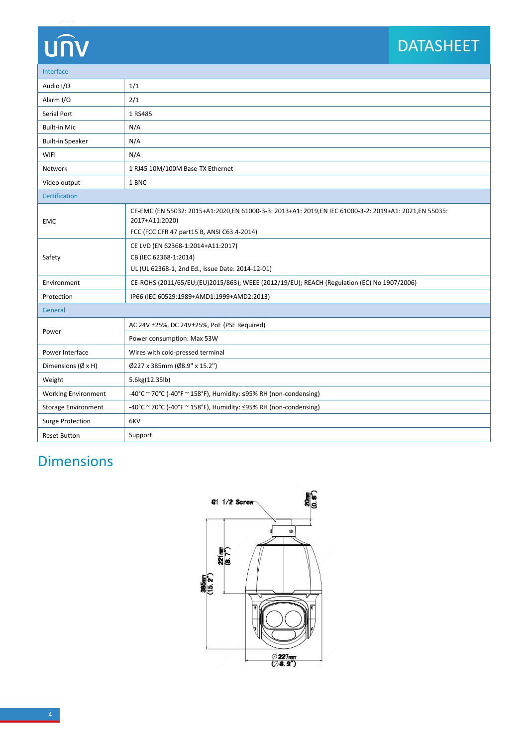## **UNV**

#### DATASHEET DATASHEET

| Interface                     |                                                                                                                        |  |  |  |  |
|-------------------------------|------------------------------------------------------------------------------------------------------------------------|--|--|--|--|
| Audio I/O                     | 1/1                                                                                                                    |  |  |  |  |
| Alarm I/O                     | 2/1                                                                                                                    |  |  |  |  |
| Serial Port                   | 1 RS485                                                                                                                |  |  |  |  |
| <b>Built-in Mic</b>           | N/A                                                                                                                    |  |  |  |  |
| <b>Built-in Speaker</b>       | N/A                                                                                                                    |  |  |  |  |
| <b>WIFI</b>                   | N/A                                                                                                                    |  |  |  |  |
| Network                       | 1 RJ45 10M/100M Base-TX Ethernet                                                                                       |  |  |  |  |
| Video output                  | 1 BNC                                                                                                                  |  |  |  |  |
| Certification                 |                                                                                                                        |  |  |  |  |
| <b>EMC</b>                    | CE-EMC (EN 55032: 2015+A1:2020,EN 61000-3-3: 2013+A1: 2019,EN IEC 61000-3-2: 2019+A1: 2021,EN 55035:<br>2017+A11:2020) |  |  |  |  |
|                               | FCC (FCC CFR 47 part15 B, ANSI C63.4-2014)                                                                             |  |  |  |  |
| Safety                        | CE LVD (EN 62368-1:2014+A11:2017)                                                                                      |  |  |  |  |
|                               | CB (IEC 62368-1:2014)                                                                                                  |  |  |  |  |
|                               | UL (UL 62368-1, 2nd Ed., Issue Date: 2014-12-01)                                                                       |  |  |  |  |
| Environment                   | CE-ROHS (2011/65/EU;(EU)2015/863); WEEE (2012/19/EU); REACH (Regulation (EC) No 1907/2006)                             |  |  |  |  |
| Protection                    | IP66 (IEC 60529:1989+AMD1:1999+AMD2:2013)                                                                              |  |  |  |  |
| General                       |                                                                                                                        |  |  |  |  |
|                               | AC 24V ±25%, DC 24V±25%, PoE (PSE Required)                                                                            |  |  |  |  |
| Power                         | Power consumption: Max 53W                                                                                             |  |  |  |  |
| Power Interface               | Wires with cold-pressed terminal                                                                                       |  |  |  |  |
| Dimensions ( $\emptyset$ x H) | Ø227 x 385mm (Ø8.9" x 15.2")                                                                                           |  |  |  |  |
| Weight                        | 5.6kg(12.35lb)                                                                                                         |  |  |  |  |
| <b>Working Environment</b>    | -40°C ~ 70°C (-40°F ~ 158°F), Humidity: ≤95% RH (non-condensing)                                                       |  |  |  |  |
| <b>Storage Environment</b>    | -40°C ~ 70°C (-40°F ~ 158°F), Humidity: ≤95% RH (non-condensing)                                                       |  |  |  |  |
| <b>Surge Protection</b>       | 6KV                                                                                                                    |  |  |  |  |
| <b>Reset Button</b>           | Support                                                                                                                |  |  |  |  |

### Dimensions